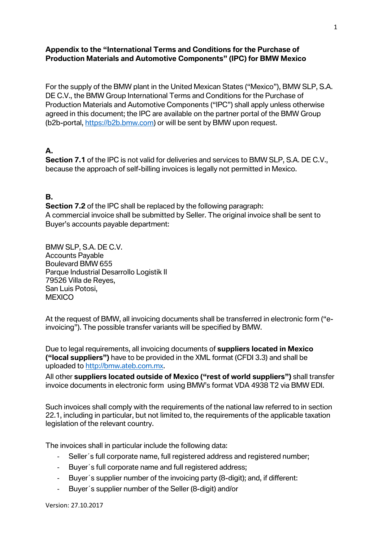#### **Appendix to the "International Terms and Conditions for the Purchase of Production Materials and Automotive Components" (IPC) for BMW Mexico**

For the supply of the BMW plant in the United Mexican States ("Mexico"), BMW SLP, S.A. DE C.V., the BMW Group International Terms and Conditions for the Purchase of Production Materials and Automotive Components ("IPC") shall apply unless otherwise agreed in this document; the IPC are available on the partner portal of the BMW Group (b2b-portal, [https://b2b.bmw.com\)](https://b2b.bmw.com/) or will be sent by BMW upon request.

## **A.**

**Section 7.1** of the IPC is not valid for deliveries and services to BMW SLP, S.A. DE C.V., because the approach of self-billing invoices is legally not permitted in Mexico.

#### **B.**

**Section 7.2** of the IPC shall be replaced by the following paragraph: A commercial invoice shall be submitted by Seller. The original invoice shall be sent to Buyer's accounts payable department:

BMW SLP, S.A. DE C.V. Accounts Payable Boulevard BMW 655 Parque Industrial Desarrollo Logistik II 79526 Villa de Reyes, San Luis Potosi, **MEXICO** 

At the request of BMW, all invoicing documents shall be transferred in electronic form ("einvoicing"). The possible transfer variants will be specified by BMW.

Due to legal requirements, all invoicing documents of **suppliers located in Mexico ("local suppliers")** have to be provided in the XML format (CFDI 3.3) and shall be uploaded to [http://bmw.ateb.com.mx.](http://bmw.ateb.com.mx/)

All other **suppliers located outside of Mexico ("rest of world suppliers")** shall transfer invoice documents in electronic form using BMW's format VDA 4938 T2 via BMW EDI.

Such invoices shall comply with the requirements of the national law referred to in section 22.1, including in particular, but not limited to, the requirements of the applicable taxation legislation of the relevant country.

The invoices shall in particular include the following data:

- Seller´s full corporate name, full registered address and registered number;
- Buyer´s full corporate name and full registered address;
- Buyer´s supplier number of the invoicing party (8-digit); and, if different:
- Buyer´s supplier number of the Seller (8-digit) and/or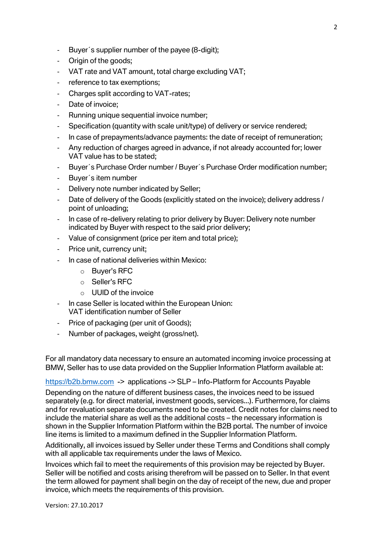- Buyer´s supplier number of the payee (8-digit);
- Origin of the goods;
- VAT rate and VAT amount, total charge excluding VAT;
- reference to tax exemptions;
- Charges split according to VAT-rates;
- Date of invoice;
- Running unique sequential invoice number;
- Specification (quantity with scale unit/type) of delivery or service rendered;
- In case of prepayments/advance payments: the date of receipt of remuneration;
- Any reduction of charges agreed in advance, if not already accounted for; lower VAT value has to be stated;
- Buyer´s Purchase Order number / Buyer´s Purchase Order modification number;
- Buyer´s item number
- Delivery note number indicated by Seller;
- Date of delivery of the Goods (explicitly stated on the invoice); delivery address / point of unloading;
- In case of re-delivery relating to prior delivery by Buyer: Delivery note number indicated by Buyer with respect to the said prior delivery;
- Value of consignment (price per item and total price);
- Price unit, currency unit;
- In case of national deliveries within Mexico:
	- o Buyer's RFC
	- o Seller's RFC
	- $\circ$  UUID of the invoice
- In case Seller is located within the European Union: VAT identification number of Seller
- Price of packaging (per unit of Goods);
- Number of packages, weight (gross/net).

For all mandatory data necessary to ensure an automated incoming invoice processing at BMW, Seller has to use data provided on the Supplier Information Platform available at:

[https://b2b.bmw.com](https://b2b.bmw.com/) -> applications -> SLP – Info-Platform for Accounts Payable

Depending on the nature of different business cases, the invoices need to be issued separately (e.g. for direct material, investment goods, services...). Furthermore, for claims and for revaluation separate documents need to be created. Credit notes for claims need to include the material share as well as the additional costs – the necessary information is shown in the Supplier Information Platform within the B2B portal. The number of invoice line items is limited to a maximum defined in the Supplier Information Platform.

Additionally, all invoices issued by Seller under these Terms and Conditions shall comply with all applicable tax requirements under the laws of Mexico.

Invoices which fail to meet the requirements of this provision may be rejected by Buyer. Seller will be notified and costs arising therefrom will be passed on to Seller. In that event the term allowed for payment shall begin on the day of receipt of the new, due and proper invoice, which meets the requirements of this provision.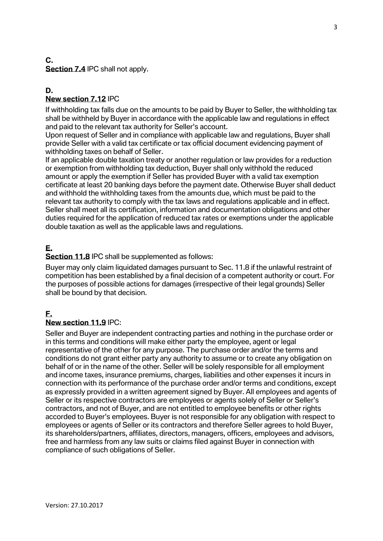#### **C. Section 7.4** IPC shall not apply.

#### **D. New section 7.12** IPC

If withholding tax falls due on the amounts to be paid by Buyer to Seller, the withholding tax shall be withheld by Buyer in accordance with the applicable law and regulations in effect and paid to the relevant tax authority for Seller's account.

Upon request of Seller and in compliance with applicable law and regulations, Buyer shall provide Seller with a valid tax certificate or tax official document evidencing payment of withholding taxes on behalf of Seller.

If an applicable double taxation treaty or another regulation or law provides for a reduction or exemption from withholding tax deduction, Buyer shall only withhold the reduced amount or apply the exemption if Seller has provided Buyer with a valid tax exemption certificate at least 20 banking days before the payment date. Otherwise Buyer shall deduct and withhold the withholding taxes from the amounts due, which must be paid to the relevant tax authority to comply with the tax laws and regulations applicable and in effect. Seller shall meet all its certification, information and documentation obligations and other duties required for the application of reduced tax rates or exemptions under the applicable double taxation as well as the applicable laws and regulations.

# **E.**

**Section 11.8** IPC shall be supplemented as follows:

Buyer may only claim liquidated damages pursuant to Sec. 11.8 if the unlawful restraint of competition has been established by a final decision of a competent authority or court. For the purposes of possible actions for damages (irrespective of their legal grounds) Seller shall be bound by that decision.

# **F.**

#### **New section 11.9** IPC:

Seller and Buyer are independent contracting parties and nothing in the purchase order or in this terms and conditions will make either party the employee, agent or legal representative of the other for any purpose. The purchase order and/or the terms and conditions do not grant either party any authority to assume or to create any obligation on behalf of or in the name of the other. Seller will be solely responsible for all employment and income taxes, insurance premiums, charges, liabilities and other expenses it incurs in connection with its performance of the purchase order and/or terms and conditions, except as expressly provided in a written agreement signed by Buyer. All employees and agents of Seller or its respective contractors are employees or agents solely of Seller or Seller's contractors, and not of Buyer, and are not entitled to employee benefits or other rights accorded to Buyer's employees. Buyer is not responsible for any obligation with respect to employees or agents of Seller or its contractors and therefore Seller agrees to hold Buyer, its shareholders/partners, affiliates, directors, managers, officers, employees and advisors, free and harmless from any law suits or claims filed against Buyer in connection with compliance of such obligations of Seller.